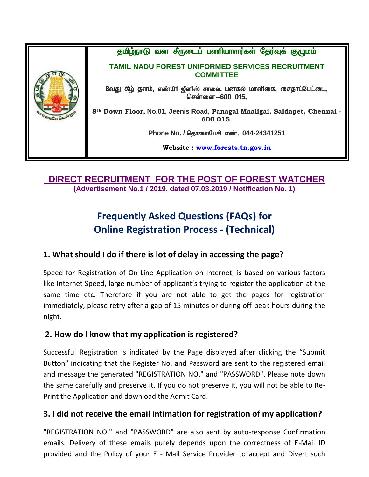

#### **DIRECT RECRUITMENT FOR THE POST OF FOREST WATCHER (Advertisement No.1 / 2019, dated 07.03.2019 / Notification No. 1)**

# **Frequently Asked Questions (FAQs) for Online Registration Process - (Technical)**

### **1. What should I do if there is lot of delay in accessing the page?**

Speed for Registration of On-Line Application on Internet, is based on various factors like Internet Speed, large number of applicant's trying to register the application at the same time etc. Therefore if you are not able to get the pages for registration immediately, please retry after a gap of 15 minutes or during off-peak hours during the night.

### **2. How do I know that my application is registered?**

Successful Registration is indicated by the Page displayed after clicking the "Submit Button" indicating that the Register No. and Password are sent to the registered email and message the generated "REGISTRATION NO." and "PASSWORD". Please note down the same carefully and preserve it. If you do not preserve it, you will not be able to Re-Print the Application and download the Admit Card.

### **3. I did not receive the email intimation for registration of my application?**

"REGISTRATION NO." and "PASSWORD" are also sent by auto-response Confirmation emails. Delivery of these emails purely depends upon the correctness of E-Mail ID provided and the Policy of your E - Mail Service Provider to accept and Divert such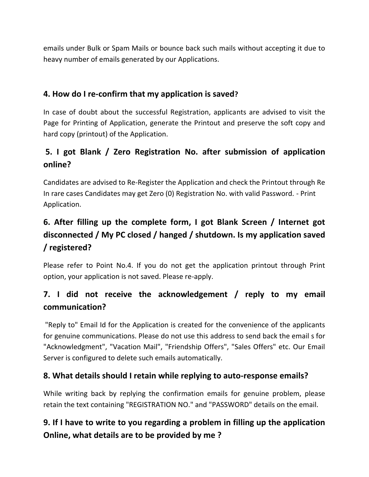emails under Bulk or Spam Mails or bounce back such mails without accepting it due to heavy number of emails generated by our Applications.

### **4. How do I re-confirm that my application is saved?**

In case of doubt about the successful Registration, applicants are advised to visit the Page for Printing of Application, generate the Printout and preserve the soft copy and hard copy (printout) of the Application.

### **5. I got Blank / Zero Registration No. after submission of application online?**

Candidates are advised to Re-Register the Application and check the Printout through Re In rare cases Candidates may get Zero (0) Registration No. with valid Password. - Print Application.

# **6. After filling up the complete form, I got Blank Screen / Internet got disconnected / My PC closed / hanged / shutdown. Is my application saved / registered?**

Please refer to Point No.4. If you do not get the application printout through Print option, your application is not saved. Please re-apply.

### **7. I did not receive the acknowledgement / reply to my email communication?**

"Reply to" Email Id for the Application is created for the convenience of the applicants for genuine communications. Please do not use this address to send back the email s for "Acknowledgment", "Vacation Mail", "Friendship Offers", "Sales Offers" etc. Our Email Server is configured to delete such emails automatically.

### **8. What details should I retain while replying to auto-response emails?**

While writing back by replying the confirmation emails for genuine problem, please retain the text containing "REGISTRATION NO." and "PASSWORD" details on the email.

## **9. If I have to write to you regarding a problem in filling up the application Online, what details are to be provided by me ?**